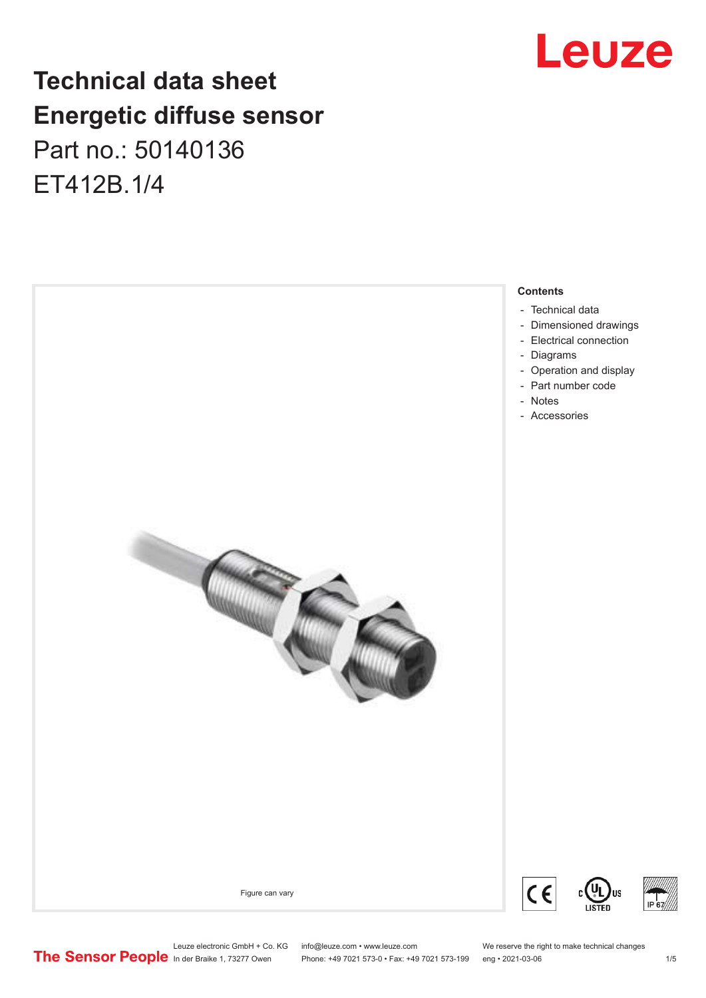## **Technical data sheet Energetic diffuse sensor** Part no.: 50140136

ET412B.1/4



## Leuze

Leuze electronic GmbH + Co. KG info@leuze.com • www.leuze.com We reserve the right to make technical changes<br> **The Sensor People** in der Braike 1, 73277 Owen Phone: +49 7021 573-0 • Fax: +49 7021 573-199 eng • 2021-03-06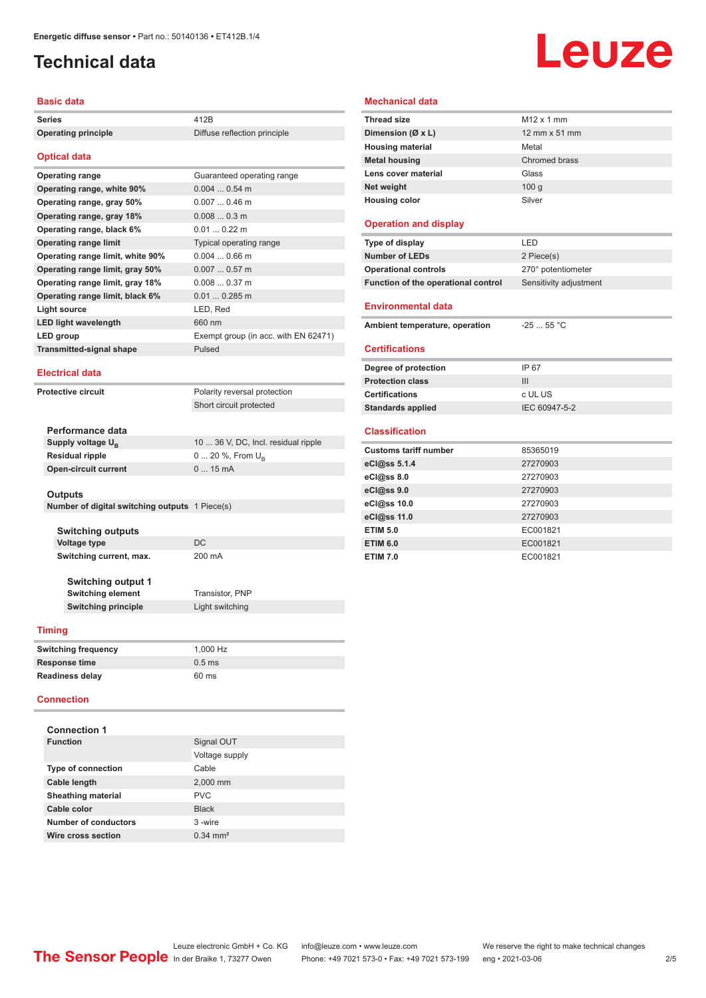## <span id="page-1-0"></span>**Technical data**

#### **Basic data**

| <b>Series</b>                    | 412 <sub>R</sub>                     |
|----------------------------------|--------------------------------------|
| <b>Operating principle</b>       | Diffuse reflection principle         |
| <b>Optical data</b>              |                                      |
| <b>Operating range</b>           | Guaranteed operating range           |
| Operating range, white 90%       | $0.0040.54$ m                        |
| Operating range, gray 50%        | $0.0070.46$ m                        |
| Operating range, gray 18%        | $0.0080.3$ m                         |
| Operating range, black 6%        | $0.010.22$ m                         |
| <b>Operating range limit</b>     | Typical operating range              |
| Operating range limit, white 90% | $0.0040.66$ m                        |
| Operating range limit, gray 50%  | $0.0070.57$ m                        |
| Operating range limit, gray 18%  | $0.0080.37$ m                        |
| Operating range limit, black 6%  | $0.01$ 0.285 m                       |
| Light source                     | LED, Red                             |
| <b>LED light wavelength</b>      | 660 nm                               |
| <b>LED</b> group                 | Exempt group (in acc. with EN 62471) |
| <b>Transmitted-signal shape</b>  | Pulsed                               |
| <b>Electrical data</b>           |                                      |
| Protective circuit               | Polarity reversal protection         |
|                                  | Short circuit protected              |

| Performance data              |                                     |
|-------------------------------|-------------------------------------|
| Supply voltage U <sub>p</sub> | 10  36 V, DC, Incl. residual ripple |
| <b>Residual ripple</b>        | $0 20 \%$ , From $U_{p}$            |
| <b>Open-circuit current</b>   | $015$ mA                            |
|                               |                                     |

#### **Outputs**

|  | Number of digital switching outputs 1 Piece(s) |  |
|--|------------------------------------------------|--|
|  |                                                |  |

**Switching outputs Voltage type** DC **Switching current, max.** 200 mA

**Switching output 1 Switching element** Transistor, PNP **Switching principle** Light switching

#### **Timing**

| <b>Switching frequency</b> | 1.000 Hz |
|----------------------------|----------|
| Response time              | $0.5$ ms |
| Readiness delay            | 60 ms    |

#### **Connection**

| <b>Connection 1</b>       |                       |
|---------------------------|-----------------------|
| <b>Function</b>           | Signal OUT            |
|                           | Voltage supply        |
| <b>Type of connection</b> | Cable                 |
| Cable length              | 2,000 mm              |
| <b>Sheathing material</b> | <b>PVC</b>            |
| Cable color               | <b>Black</b>          |
| Number of conductors      | 3-wire                |
| Wire cross section        | $0.34 \, \text{mm}^2$ |

# Leuze

#### **Mechanical data**

| <b>Thread size</b>           | $M12 \times 1$ mm      |
|------------------------------|------------------------|
| Dimension (Ø x L)            | $12$ mm $\times$ 51 mm |
| <b>Housing material</b>      | Metal                  |
| <b>Metal housing</b>         | Chromed brass          |
| Lens cover material          | Glass                  |
| Net weight                   | 100q                   |
| <b>Housing color</b>         | Silver                 |
| <b>Operation and display</b> |                        |

| Type of display                     | I FD                   |
|-------------------------------------|------------------------|
| <b>Number of LEDs</b>               | 2 Piece(s)             |
| <b>Operational controls</b>         | 270° potentiometer     |
| Function of the operational control | Sensitivity adjustment |
| <b>Environmental data</b>           |                        |
|                                     |                        |
| Ambient temperature, operation      | $-2555$ °C             |
| <b>Certifications</b>               |                        |
| Degree of protection                | IP 67                  |
| <b>Protection class</b>             | III                    |

#### **Classification**

| <b>Customs tariff number</b> | 85365019 |
|------------------------------|----------|
| eCl@ss 5.1.4                 | 27270903 |
| eCl@ss 8.0                   | 27270903 |
| eCl@ss 9.0                   | 27270903 |
| eCl@ss 10.0                  | 27270903 |
| eCl@ss 11.0                  | 27270903 |
| <b>ETIM 5.0</b>              | EC001821 |
| <b>ETIM 6.0</b>              | EC001821 |
| <b>ETIM 7.0</b>              | EC001821 |

**Standards applied** IEC 60947-5-2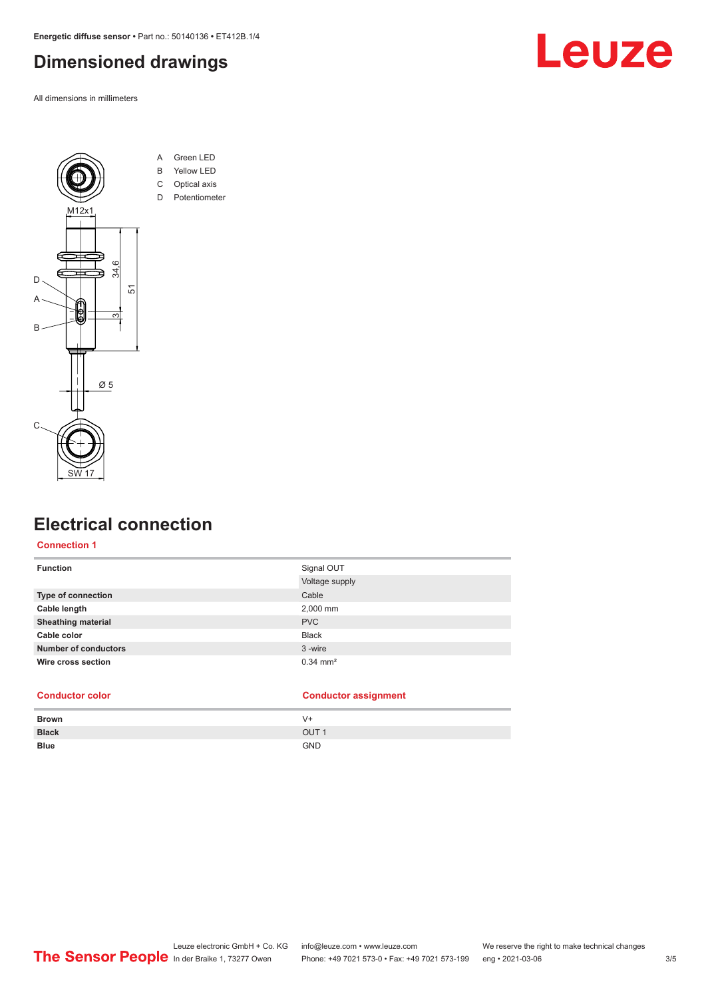<span id="page-2-0"></span>**Energetic diffuse sensor •** Part no.: 50140136 **•** ET412B.1/4

## **Dimensioned drawings**

All dimensions in millimeters





## **Electrical connection**

### **Connection 1**

| <b>Function</b>             | Signal OUT            |
|-----------------------------|-----------------------|
|                             | Voltage supply        |
| Type of connection          | Cable                 |
| Cable length                | 2,000 mm              |
| <b>Sheathing material</b>   | <b>PVC</b>            |
| Cable color                 | <b>Black</b>          |
| <b>Number of conductors</b> | 3-wire                |
| Wire cross section          | $0.34 \, \text{mm}^2$ |
|                             |                       |

| <b>Conductor color</b> | <b>Conductor assignment</b> |
|------------------------|-----------------------------|
|                        |                             |

| Brown        | $V +$            |
|--------------|------------------|
| <b>Black</b> | OUT <sub>1</sub> |
| <b>Blue</b>  | <b>GND</b>       |
|              |                  |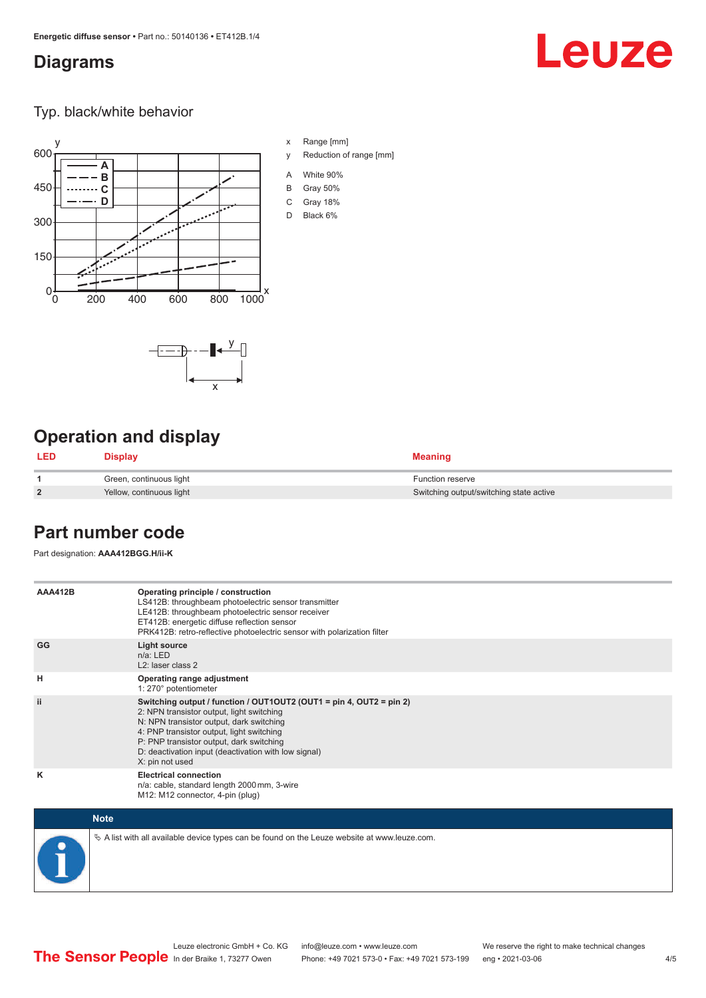### <span id="page-3-0"></span>**Diagrams**

## Leuze

Typ. black/white behavior



x

 $-\overline{...}$   $-\overline{...}$   $-\overline{...}$ 

x Range [mm]

- y Reduction of range [mm]
- A White 90%
- B Gray 50%
- C Gray 18%
- D Black 6%

## **Operation and display**

| <b>LED</b>     | <b>Display</b>           | <b>Meaning</b>                          |
|----------------|--------------------------|-----------------------------------------|
|                | Green, continuous light  | <b>Function reserve</b>                 |
| $\overline{2}$ | Yellow, continuous light | Switching output/switching state active |

## **Part number code**

Part designation: **AAA412BGG.H/ii-K**

| <b>AAA412B</b> | Operating principle / construction<br>LS412B: throughbeam photoelectric sensor transmitter<br>LE412B: throughbeam photoelectric sensor receiver<br>ET412B: energetic diffuse reflection sensor<br>PRK412B: retro-reflective photoelectric sensor with polarization filter                                                        |
|----------------|----------------------------------------------------------------------------------------------------------------------------------------------------------------------------------------------------------------------------------------------------------------------------------------------------------------------------------|
| GG             | <b>Light source</b><br>$n/a$ : LED<br>L <sub>2</sub> : laser class 2                                                                                                                                                                                                                                                             |
| н              | Operating range adjustment<br>1: 270° potentiometer                                                                                                                                                                                                                                                                              |
| ii.            | Switching output / function / OUT1OUT2 (OUT1 = pin 4, OUT2 = pin 2)<br>2: NPN transistor output, light switching<br>N: NPN transistor output, dark switching<br>4: PNP transistor output, light switching<br>P: PNP transistor output, dark switching<br>D: deactivation input (deactivation with low signal)<br>X: pin not used |
| ĸ              | <b>Electrical connection</b><br>n/a: cable, standard length 2000 mm, 3-wire<br>M12: M12 connector, 4-pin (plug)                                                                                                                                                                                                                  |

| <b>Note</b>                                                                                     |
|-------------------------------------------------------------------------------------------------|
| $\&$ A list with all available device types can be found on the Leuze website at www.leuze.com. |